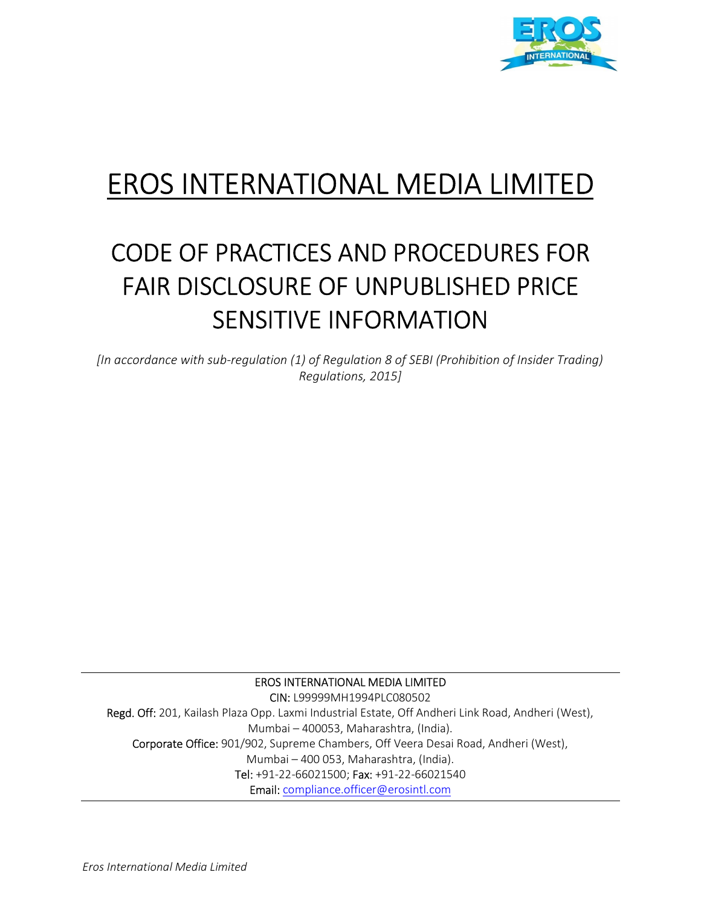

# EROS INTERNATIONAL MEDIA LIMITED

## CODE OF PRACTICES AND PROCEDURES FOR FAIR DISCLOSURE OF UNPUBLISHED PRICE SENSITIVE INFORMATION

[In accordance with sub-regulation (1) of Regulation 8 of SEBI (Prohibition of Insider Trading) Regulations, 2015]

EROS INTERNATIONAL MEDIA LIMITED

CIN: L99999MH1994PLC080502 Regd. Off: 201, Kailash Plaza Opp. Laxmi Industrial Estate, Off Andheri Link Road, Andheri (West), Mumbai – 400053, Maharashtra, (India). Corporate Office: 901/902, Supreme Chambers, Off Veera Desai Road, Andheri (West), Mumbai – 400 053, Maharashtra, (India). Tel: +91-22-66021500; Fax: +91-22-66021540 Email: compliance.officer@erosintl.com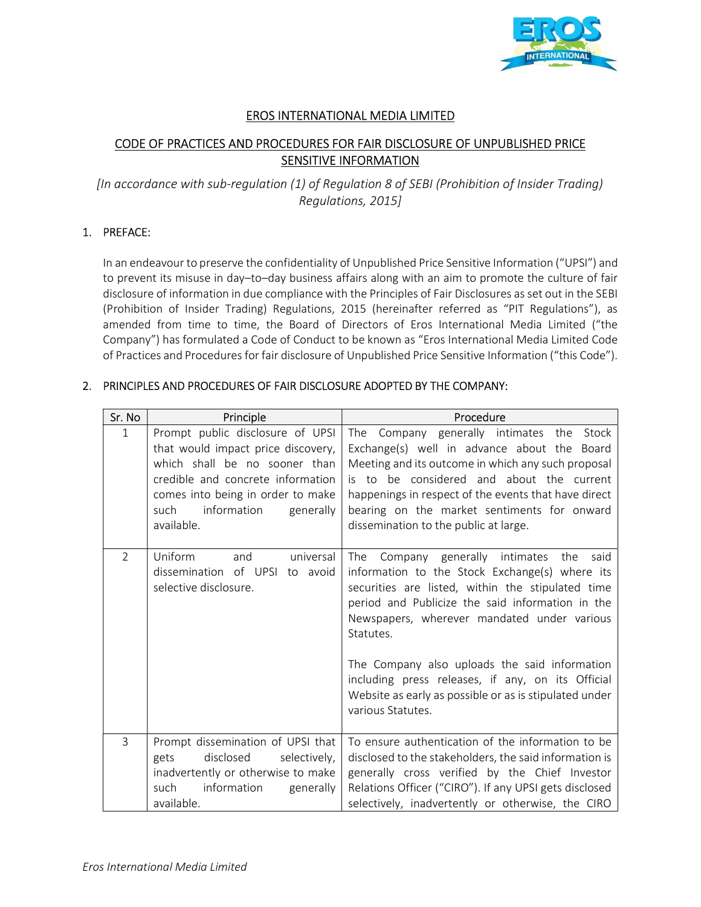

#### EROS INTERNATIONAL MEDIA LIMITED

### CODE OF PRACTICES AND PROCEDURES FOR FAIR DISCLOSURE OF UNPUBLISHED PRICE **SENSITIVE INFORMATION**

[In accordance with sub-regulation (1) of Regulation 8 of SEBI (Prohibition of Insider Trading) Regulations, 2015]

#### 1. PREFACE:

 In an endeavour to preserve the confidentiality of Unpublished Price Sensitive Information ("UPSI") and to prevent its misuse in day–to–day business affairs along with an aim to promote the culture of fair disclosure of information in due compliance with the Principles of Fair Disclosures as set out in the SEBI (Prohibition of Insider Trading) Regulations, 2015 (hereinafter referred as "PIT Regulations"), as amended from time to time, the Board of Directors of Eros International Media Limited ("the Company") has formulated a Code of Conduct to be known as "Eros International Media Limited Code of Practices and Procedures for fair disclosure of Unpublished Price Sensitive Information ("this Code").

#### 2. PRINCIPLES AND PROCEDURES OF FAIR DISCLOSURE ADOPTED BY THE COMPANY:

| Sr. No        | Principle                                                                                                                                                                                                                           | Procedure                                                                                                                                                                                                                                                                                                                                                                                                                                                         |
|---------------|-------------------------------------------------------------------------------------------------------------------------------------------------------------------------------------------------------------------------------------|-------------------------------------------------------------------------------------------------------------------------------------------------------------------------------------------------------------------------------------------------------------------------------------------------------------------------------------------------------------------------------------------------------------------------------------------------------------------|
| $\mathbf{1}$  | Prompt public disclosure of UPSI<br>that would impact price discovery,<br>which shall be no sooner than<br>credible and concrete information<br>comes into being in order to make<br>information<br>generally<br>such<br>available. | The Company generally intimates the Stock<br>Exchange(s) well in advance about the Board<br>Meeting and its outcome in which any such proposal<br>is to be considered and about the current<br>happenings in respect of the events that have direct<br>bearing on the market sentiments for onward<br>dissemination to the public at large.                                                                                                                       |
| $\mathcal{P}$ | universal<br>Uniform<br>and<br>dissemination of UPSI<br>to avoid<br>selective disclosure.                                                                                                                                           | Company generally intimates the<br><b>The</b><br>said<br>information to the Stock Exchange(s) where its<br>securities are listed, within the stipulated time<br>period and Publicize the said information in the<br>Newspapers, wherever mandated under various<br>Statutes.<br>The Company also uploads the said information<br>including press releases, if any, on its Official<br>Website as early as possible or as is stipulated under<br>various Statutes. |
| 3             | Prompt dissemination of UPSI that<br>disclosed<br>selectively,<br>gets<br>inadvertently or otherwise to make<br>such<br>information<br>generally<br>available.                                                                      | To ensure authentication of the information to be<br>disclosed to the stakeholders, the said information is<br>generally cross verified by the Chief Investor<br>Relations Officer ("CIRO"). If any UPSI gets disclosed<br>selectively, inadvertently or otherwise, the CIRO                                                                                                                                                                                      |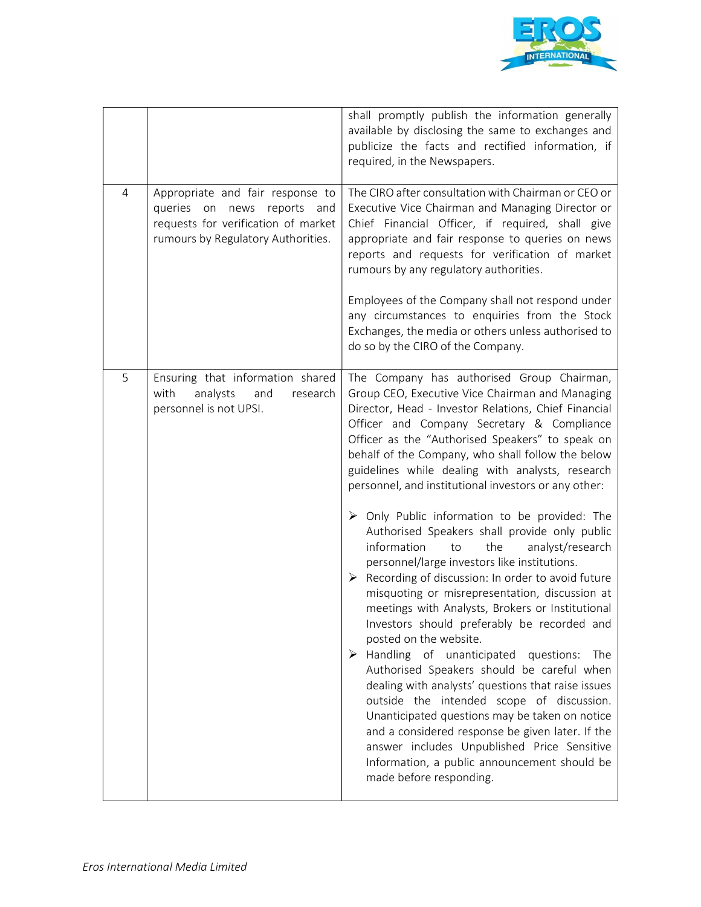

|                |                                                                                                                                                 | shall promptly publish the information generally<br>available by disclosing the same to exchanges and<br>publicize the facts and rectified information, if<br>required, in the Newspapers.                                                                                                                                                                                                                                                                                                                                                                                                                                                                                                                                                                                                                                                                                                                                                                                                                                                                                                                                                                                                                                                                                                                           |
|----------------|-------------------------------------------------------------------------------------------------------------------------------------------------|----------------------------------------------------------------------------------------------------------------------------------------------------------------------------------------------------------------------------------------------------------------------------------------------------------------------------------------------------------------------------------------------------------------------------------------------------------------------------------------------------------------------------------------------------------------------------------------------------------------------------------------------------------------------------------------------------------------------------------------------------------------------------------------------------------------------------------------------------------------------------------------------------------------------------------------------------------------------------------------------------------------------------------------------------------------------------------------------------------------------------------------------------------------------------------------------------------------------------------------------------------------------------------------------------------------------|
| $\overline{4}$ | Appropriate and fair response to<br>queries on news reports<br>and<br>requests for verification of market<br>rumours by Regulatory Authorities. | The CIRO after consultation with Chairman or CEO or<br>Executive Vice Chairman and Managing Director or<br>Chief Financial Officer, if required, shall give<br>appropriate and fair response to queries on news<br>reports and requests for verification of market<br>rumours by any regulatory authorities.<br>Employees of the Company shall not respond under<br>any circumstances to enquiries from the Stock<br>Exchanges, the media or others unless authorised to<br>do so by the CIRO of the Company.                                                                                                                                                                                                                                                                                                                                                                                                                                                                                                                                                                                                                                                                                                                                                                                                        |
| 5              | Ensuring that information shared<br>analysts<br>with<br>and<br>research<br>personnel is not UPSI.                                               | The Company has authorised Group Chairman,<br>Group CEO, Executive Vice Chairman and Managing<br>Director, Head - Investor Relations, Chief Financial<br>Officer and Company Secretary & Compliance<br>Officer as the "Authorised Speakers" to speak on<br>behalf of the Company, who shall follow the below<br>guidelines while dealing with analysts, research<br>personnel, and institutional investors or any other:<br>$\triangleright$ Only Public information to be provided: The<br>Authorised Speakers shall provide only public<br>information<br>the<br>to<br>analyst/research<br>personnel/large investors like institutions.<br>Recording of discussion: In order to avoid future<br>➤<br>misquoting or misrepresentation, discussion at<br>meetings with Analysts, Brokers or Institutional<br>Investors should preferably be recorded and<br>posted on the website.<br>Handling of unanticipated questions: The<br>➤<br>Authorised Speakers should be careful when<br>dealing with analysts' questions that raise issues<br>outside the intended scope of discussion.<br>Unanticipated questions may be taken on notice<br>and a considered response be given later. If the<br>answer includes Unpublished Price Sensitive<br>Information, a public announcement should be<br>made before responding. |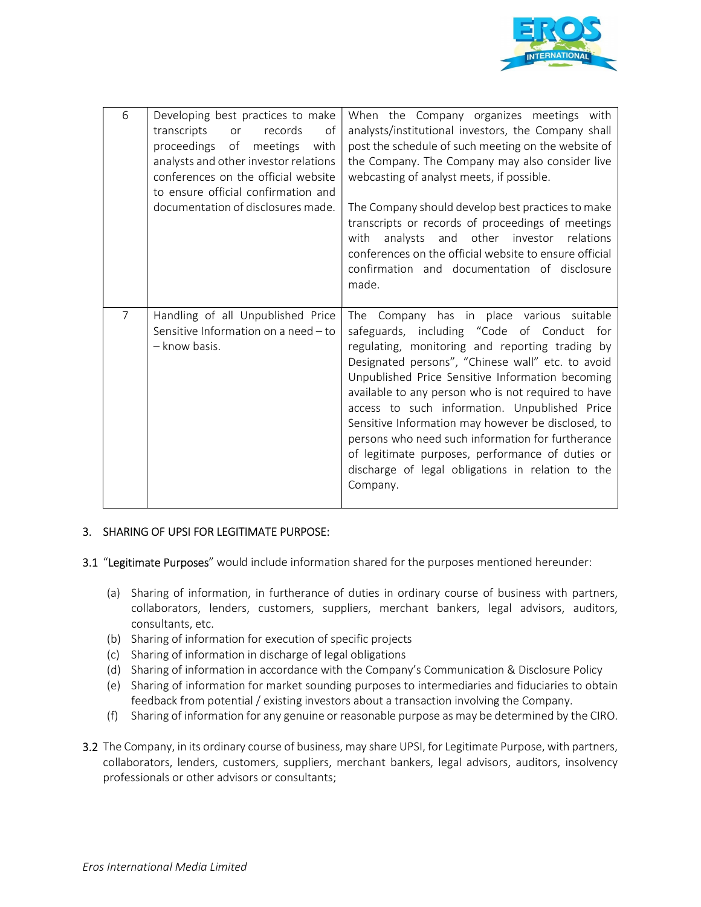

| 6              | Developing best practices to make<br>records<br>transcripts<br>οf<br>or<br>proceedings of<br>meetings<br>with<br>analysts and other investor relations<br>conferences on the official website<br>to ensure official confirmation and<br>documentation of disclosures made. | When the Company organizes meetings with<br>analysts/institutional investors, the Company shall<br>post the schedule of such meeting on the website of<br>the Company. The Company may also consider live<br>webcasting of analyst meets, if possible.<br>The Company should develop best practices to make<br>transcripts or records of proceedings of meetings<br>analysts and other investor relations<br>with<br>conferences on the official website to ensure official<br>confirmation and documentation of disclosure<br>made.                                                        |
|----------------|----------------------------------------------------------------------------------------------------------------------------------------------------------------------------------------------------------------------------------------------------------------------------|---------------------------------------------------------------------------------------------------------------------------------------------------------------------------------------------------------------------------------------------------------------------------------------------------------------------------------------------------------------------------------------------------------------------------------------------------------------------------------------------------------------------------------------------------------------------------------------------|
|                |                                                                                                                                                                                                                                                                            |                                                                                                                                                                                                                                                                                                                                                                                                                                                                                                                                                                                             |
| $\overline{7}$ | Handling of all Unpublished Price<br>Sensitive Information on a need - to<br>- know basis.                                                                                                                                                                                 | The Company has in place various suitable<br>safeguards, including "Code of Conduct for<br>regulating, monitoring and reporting trading by<br>Designated persons", "Chinese wall" etc. to avoid<br>Unpublished Price Sensitive Information becoming<br>available to any person who is not required to have<br>access to such information. Unpublished Price<br>Sensitive Information may however be disclosed, to<br>persons who need such information for furtherance<br>of legitimate purposes, performance of duties or<br>discharge of legal obligations in relation to the<br>Company. |

#### 3. SHARING OF UPSI FOR LEGITIMATE PURPOSE:

- 3.1 "Legitimate Purposes" would include information shared for the purposes mentioned hereunder:
	- (a) Sharing of information, in furtherance of duties in ordinary course of business with partners, collaborators, lenders, customers, suppliers, merchant bankers, legal advisors, auditors, consultants, etc.
	- (b) Sharing of information for execution of specific projects
	- (c) Sharing of information in discharge of legal obligations
	- (d) Sharing of information in accordance with the Company's Communication & Disclosure Policy
	- (e) Sharing of information for market sounding purposes to intermediaries and fiduciaries to obtain feedback from potential / existing investors about a transaction involving the Company.
	- (f) Sharing of information for any genuine or reasonable purpose as may be determined by the CIRO.
- 3.2 The Company, in its ordinary course of business, may share UPSI, for Legitimate Purpose, with partners, collaborators, lenders, customers, suppliers, merchant bankers, legal advisors, auditors, insolvency professionals or other advisors or consultants;